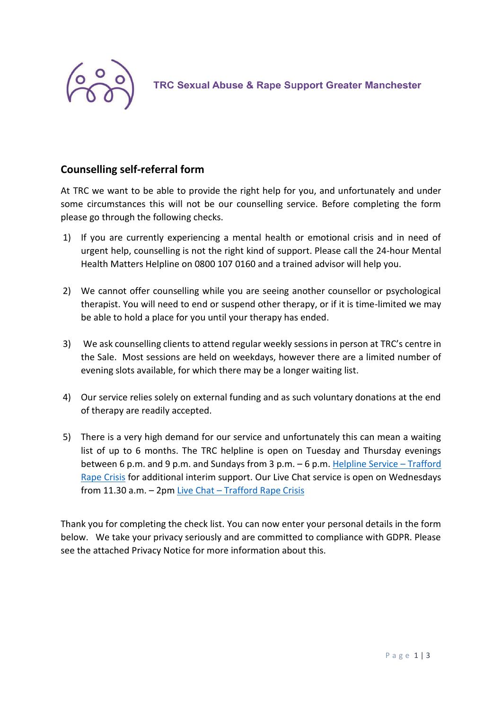

**TRC Sexual Abuse & Rape Support Greater Manchester** 

## **Counselling self-referral form**

At TRC we want to be able to provide the right help for you, and unfortunately and under some circumstances this will not be our counselling service. Before completing the form please go through the following checks.

- 1) If you are currently experiencing a mental health or emotional crisis and in need of urgent help, counselling is not the right kind of support. Please call the 24-hour Mental Health Matters Helpline on 0800 107 0160 and a trained advisor will help you.
- 2) We cannot offer counselling while you are seeing another counsellor or psychological therapist. You will need to end or suspend other therapy, or if it is time-limited we may be able to hold a place for you until your therapy has ended.
- 3) We ask counselling clients to attend regular weekly sessions in person at TRC's centre in the Sale. Most sessions are held on weekdays, however there are a limited number of evening slots available, for which there may be a longer waiting list.
- 4) Our service relies solely on external funding and as such voluntary donations at the end of therapy are readily accepted.
- 5) There is a very high demand for our service and unfortunately this can mean a waiting list of up to 6 months. The TRC helpline is open on Tuesday and Thursday evenings between 6 p.m. and 9 p.m. and Sundays from 3 p.m. – 6 p.m[. Helpline Service](https://traffordrapecrisis.com/our-services/helpline-service/) – Trafford [Rape Crisis](https://traffordrapecrisis.com/our-services/helpline-service/) for additional interim support. Our Live Chat service is open on Wednesdays from 11.30 a.m. – 2pm Live Chat – [Trafford Rape Crisis](https://traffordrapecrisis.com/livechat/)

Thank you for completing the check list. You can now enter your personal details in the form below. We take your privacy seriously and are committed to compliance with GDPR. Please see the attached Privacy Notice for more information about this.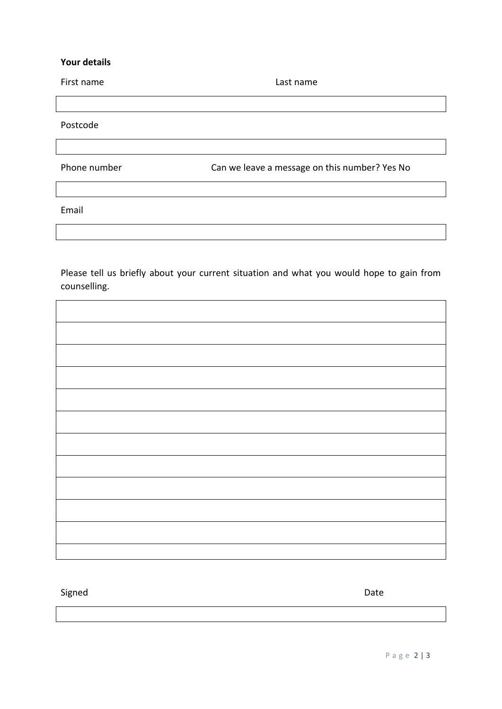## **Your details**

| First name   | Last name                                     |
|--------------|-----------------------------------------------|
|              |                                               |
| Postcode     |                                               |
|              |                                               |
| Phone number | Can we leave a message on this number? Yes No |
|              |                                               |
| Email        |                                               |
|              |                                               |

Please tell us briefly about your current situation and what you would hope to gain from counselling.

Signed **Date**